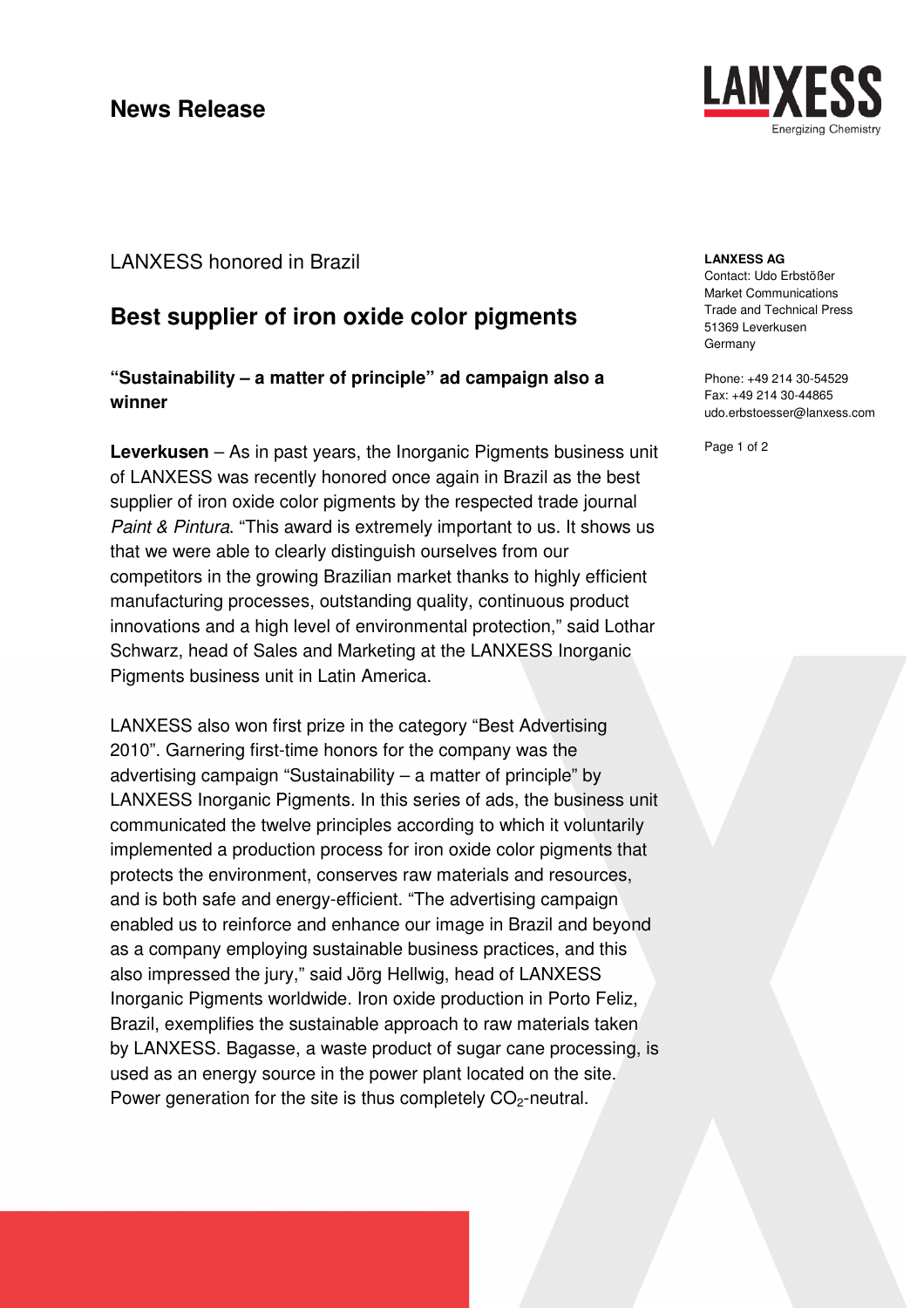

# **Best supplier of iron oxide color pigments**

**"Sustainability – a matter of principle" ad campaign also a winner** 

**Leverkusen** – As in past years, the Inorganic Pigments business unit of LANXESS was recently honored once again in Brazil as the best supplier of iron oxide color pigments by the respected trade journal Paint & Pintura. "This award is extremely important to us. It shows us that we were able to clearly distinguish ourselves from our competitors in the growing Brazilian market thanks to highly efficient manufacturing processes, outstanding quality, continuous product innovations and a high level of environmental protection," said Lothar Schwarz, head of Sales and Marketing at the LANXESS Inorganic Pigments business unit in Latin America.

LANXESS also won first prize in the category "Best Advertising 2010". Garnering first-time honors for the company was the advertising campaign "Sustainability – a matter of principle" by LANXESS Inorganic Pigments. In this series of ads, the business unit communicated the twelve principles according to which it voluntarily implemented a production process for iron oxide color pigments that protects the environment, conserves raw materials and resources, and is both safe and energy-efficient. "The advertising campaign enabled us to reinforce and enhance our image in Brazil and beyond as a company employing sustainable business practices, and this also impressed the jury," said Jörg Hellwig, head of LANXESS Inorganic Pigments worldwide. Iron oxide production in Porto Feliz, Brazil, exemplifies the sustainable approach to raw materials taken by LANXESS. Bagasse, a waste product of sugar cane processing, is used as an energy source in the power plant located on the site. Power generation for the site is thus completely CO<sub>2</sub>-neutral.



#### **LANXESS AG**

Contact: Udo Erbstößer Market Communications Trade and Technical Press 51369 Leverkusen Germany

Phone: +49 214 30-54529 Fax: +49 214 30-44865 udo.erbstoesser@lanxess.com

Page 1 of 2